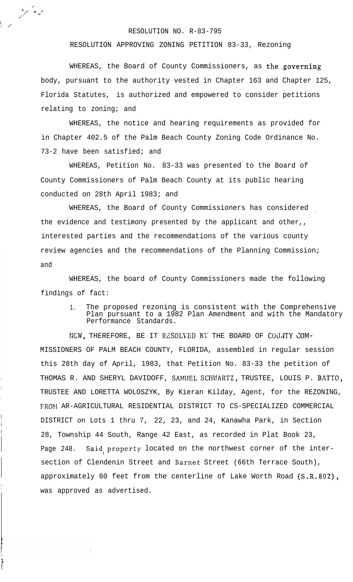## RESOLUTION NO. R-83-795

 $\mathscr{D}^{\mathbb{Z}_2}$ 

 $\frac{1}{2}$ 

RESOLUTION APPROVING ZONING PETITION 83-33, Rezoning

WHEREAS, the Board of County Commissioners, as the governing body, pursuant to the authority vested in Chapter 163 and Chapter 125, Florida Statutes, is authorized and empowered to consider petitions relating to zoning; and

WHEREAS, the notice and hearing requirements as provided for in Chapter 402.5 of the Palm Beach County Zoning Code Ordinance No. 73-2 have been satisfied; and

WHEREAS, Petition No. 83-33 was presented to the Board of County Commissioners of Palm Beach County at its public hearing conducted on 28th April 1983; and

WHEREAS, the Board of County Commissioners has considered the evidence and testimony presented by the applicant and other,, interested parties and the recommendations of the various county review agencies and the recommendations of the Planning Commission; and

WHEREAS, the board of County Commissioners made the following findings of fact:

1. The proposed rezoning is consistent with the Comprehensive Plan pursuant to a 1982 Plan Amendment and with the Mandatory Performance Standards.

NCW, THEREFORE, BE IT RESOLVED BY THE BOARD OF COUNTY COM-MISSIONERS OF PALM BEACH COUNTY, FLORIDA, assembled in regular session this 28th day of April, 1983, that Petition No. 83-33 the petition of THOMAS R. AND SHERYL DAVIDOFF, SAMUEL SCHWARTZ, TRUSTEE, LOUIS P. BATTO, TRUSTEE AND LORETTA WOLOSZYK, By Kieran Kilday, Agent, for the REZONING, FROM AR-AGRICULTURAL RESIDENTIAL DISTRICT TO CS-SPECIALIZED COMMERCIAL DISTRICT on Lots 1 thru 7, 22, 23, and 24, Kanawha Park, in Section 28, Township 44 South, Range 42 East, as recorded in Plat Book 23, Page 248. Said property located on the northwest corner of the intersection of Clendenin Street and Barnet Street (66th Terrace South), approximately 60 feet from the centerline of Lake Worth Road  $(S.R.802)$ , was approved as advertised.